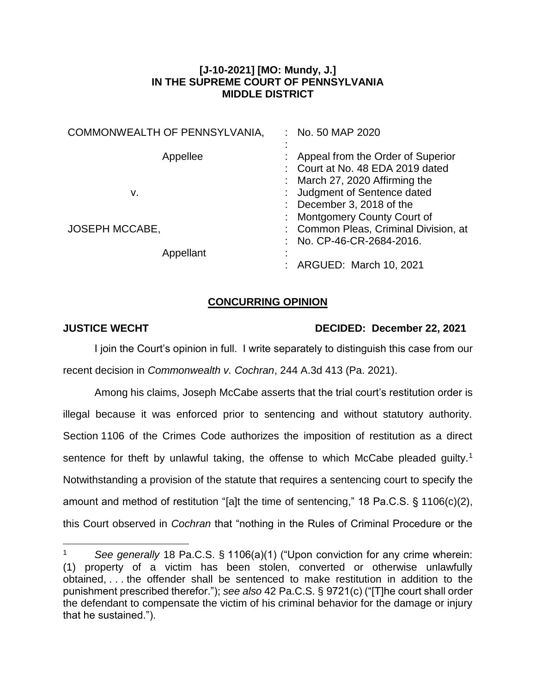## **[J-10-2021] [MO: Mundy, J.] IN THE SUPREME COURT OF PENNSYLVANIA MIDDLE DISTRICT**

| COMMONWEALTH OF PENNSYLVANIA, | No. 50 MAP 2020                                                                                                                     |
|-------------------------------|-------------------------------------------------------------------------------------------------------------------------------------|
| Appellee<br>v.                | Appeal from the Order of Superior<br>: Court at No. 48 EDA 2019 dated<br>March 27, 2020 Affirming the<br>Judgment of Sentence dated |
| <b>JOSEPH MCCABE,</b>         | December 3, 2018 of the<br><b>Montgomery County Court of</b><br>: Common Pleas, Criminal Division, at                               |
| Appellant                     | No. CP-46-CR-2684-2016.<br>ARGUED: March 10, 2021                                                                                   |

## **CONCURRING OPINION**

 $\overline{a}$ 

## **JUSTICE WECHT DECIDED: December 22, 2021**

I join the Court's opinion in full. I write separately to distinguish this case from our recent decision in *Commonwealth v. Cochran*, 244 A.3d 413 (Pa. 2021).

Among his claims, Joseph McCabe asserts that the trial court's restitution order is illegal because it was enforced prior to sentencing and without statutory authority. Section 1106 of the Crimes Code authorizes the imposition of restitution as a direct sentence for theft by unlawful taking, the offense to which McCabe pleaded guilty.<sup>1</sup> Notwithstanding a provision of the statute that requires a sentencing court to specify the amount and method of restitution "[a]t the time of sentencing," 18 Pa.C.S. § 1106(c)(2), this Court observed in *Cochran* that "nothing in the Rules of Criminal Procedure or the

<sup>1</sup> *See generally* 18 Pa.C.S. § 1106(a)(1) ("Upon conviction for any crime wherein: (1) property of a victim has been stolen, converted or otherwise unlawfully obtained, . . . the offender shall be sentenced to make restitution in addition to the punishment prescribed therefor."); *see also* 42 Pa.C.S. § 9721(c) ("[T]he court shall order the defendant to compensate the victim of his criminal behavior for the damage or injury that he sustained.").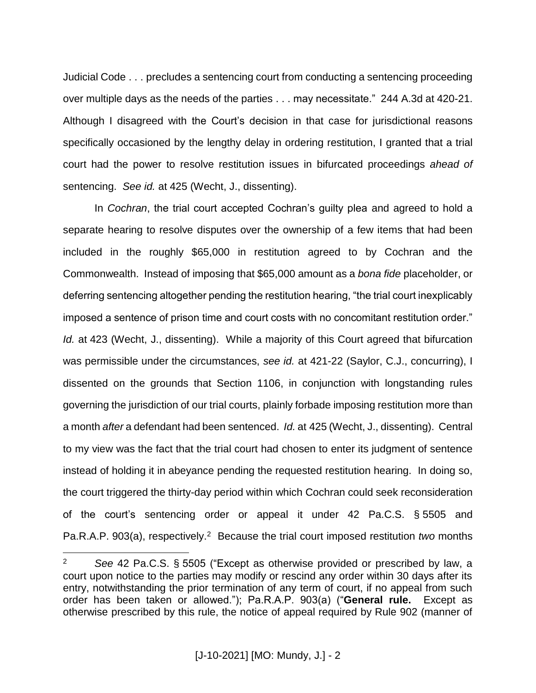Judicial Code . . . precludes a sentencing court from conducting a sentencing proceeding over multiple days as the needs of the parties . . . may necessitate." 244 A.3d at 420-21. Although I disagreed with the Court's decision in that case for jurisdictional reasons specifically occasioned by the lengthy delay in ordering restitution, I granted that a trial court had the power to resolve restitution issues in bifurcated proceedings *ahead of* sentencing. *See id.* at 425 (Wecht, J., dissenting).

In *Cochran*, the trial court accepted Cochran's guilty plea and agreed to hold a separate hearing to resolve disputes over the ownership of a few items that had been included in the roughly \$65,000 in restitution agreed to by Cochran and the Commonwealth. Instead of imposing that \$65,000 amount as a *bona fide* placeholder, or deferring sentencing altogether pending the restitution hearing, "the trial court inexplicably imposed a sentence of prison time and court costs with no concomitant restitution order." *Id.* at 423 (Wecht, J., dissenting). While a majority of this Court agreed that bifurcation was permissible under the circumstances, *see id.* at 421-22 (Saylor, C.J., concurring), I dissented on the grounds that Section 1106, in conjunction with longstanding rules governing the jurisdiction of our trial courts, plainly forbade imposing restitution more than a month *after* a defendant had been sentenced. *Id.* at 425 (Wecht, J., dissenting). Central to my view was the fact that the trial court had chosen to enter its judgment of sentence instead of holding it in abeyance pending the requested restitution hearing. In doing so, the court triggered the thirty-day period within which Cochran could seek reconsideration of the court's sentencing order or appeal it under 42 Pa.C.S. § 5505 and Pa.R.A.P. 903(a), respectively. 2 Because the trial court imposed restitution *two* months

 $\overline{a}$ 

<sup>2</sup> *See* 42 Pa.C.S. § 5505 ("Except as otherwise provided or prescribed by law, a court upon notice to the parties may modify or rescind any order within 30 days after its entry, notwithstanding the prior termination of any term of court, if no appeal from such order has been taken or allowed."); Pa.R.A.P. 903(a) ("**General rule.** Except as otherwise prescribed by this rule, the notice of appeal required by Rule 902 (manner of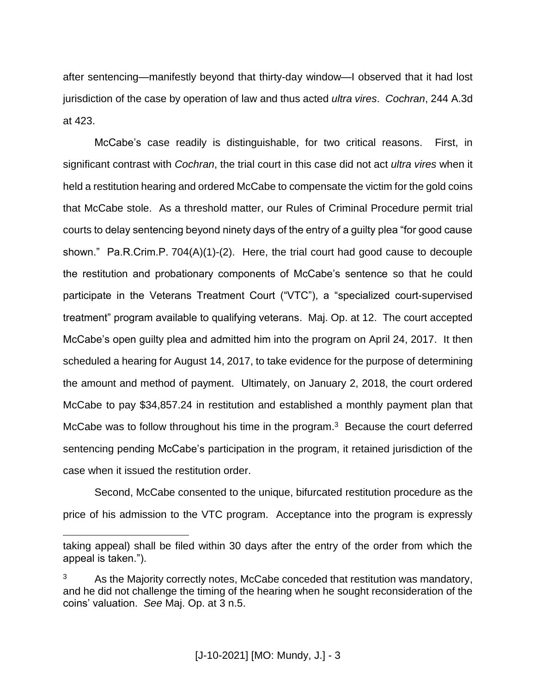after sentencing—manifestly beyond that thirty-day window—I observed that it had lost jurisdiction of the case by operation of law and thus acted *ultra vires*. *Cochran*, 244 A.3d at 423.

McCabe's case readily is distinguishable, for two critical reasons. First, in significant contrast with *Cochran*, the trial court in this case did not act *ultra vires* when it held a restitution hearing and ordered McCabe to compensate the victim for the gold coins that McCabe stole. As a threshold matter, our Rules of Criminal Procedure permit trial courts to delay sentencing beyond ninety days of the entry of a guilty plea "for good cause shown." Pa.R.Crim.P.  $704(A)(1)-(2)$ . Here, the trial court had good cause to decouple the restitution and probationary components of McCabe's sentence so that he could participate in the Veterans Treatment Court ("VTC"), a "specialized court-supervised treatment" program available to qualifying veterans. Maj. Op. at 12. The court accepted McCabe's open guilty plea and admitted him into the program on April 24, 2017. It then scheduled a hearing for August 14, 2017, to take evidence for the purpose of determining the amount and method of payment. Ultimately, on January 2, 2018, the court ordered McCabe to pay \$34,857.24 in restitution and established a monthly payment plan that McCabe was to follow throughout his time in the program.<sup>3</sup> Because the court deferred sentencing pending McCabe's participation in the program, it retained jurisdiction of the case when it issued the restitution order.

Second, McCabe consented to the unique, bifurcated restitution procedure as the price of his admission to the VTC program. Acceptance into the program is expressly

 $\overline{a}$ 

taking appeal) shall be filed within 30 days after the entry of the order from which the appeal is taken.").

As the Majority correctly notes, McCabe conceded that restitution was mandatory, and he did not challenge the timing of the hearing when he sought reconsideration of the coins' valuation. *See* Maj. Op. at 3 n.5.